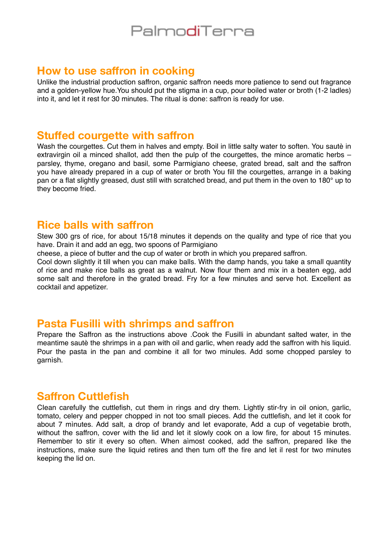# PalmodiTerra

#### **How to use saffron in cooking**

Unlike the industrial production saffron, organic saffron needs more patience to send out fragrance and a golden-yellow hue.You should put the stigma in a cup, pour boiled water or broth (1-2 ladles) into it, and let it rest for 30 minutes. The ritual is done: saffron is ready for use.

#### **Stuffed courgette with saffron**

Wash the courgettes. Cut them in halves and empty. Boil in little salty water to soften. You sautè in extravirgin oil a minced shallot, add then the pulp of the courgettes, the mince aromatic herbs – parsley, thyme, oregano and basil, some Parmigiano cheese, grated bread, salt and the saffron you have already prepared in a cup of water or broth You fill the courgettes, arrange in a baking pan or a flat slightly greased, dust still with scratched bread, and put them in the oven to 180° up to they become fried.

#### **Rice balls with saffron**

Stew 300 grs of rice, for about 15/18 minutes it depends on the quality and type of rice that you have. Drain it and add an egg, two spoons of Parmigiano

cheese, a piece of butter and the cup of water or broth in which you prepared saffron.

Cool down slightly it till when you can make balls. With the damp hands, you take a small quantity of rice and make rice balls as great as a walnut. Now flour them and mix in a beaten egg, add some salt and therefore in the grated bread. Fry for a few minutes and serve hot. Excellent as cocktail and appetizer.

### **Pasta Fusilli with shrimps and saffron**

Prepare the Saffron as the instructions above .Cook the Fusilli in abundant salted water, in the meantime sautè the shrimps in a pan with oil and garlic, when ready add the saffron with his liquid. Pour the pasta in the pan and combine it all for two minules. Add some chopped parsley to garnìsh.

### **Saffron Cuttlefish**

CIean carefully the cuttlefish, cut them in rings and dry them. Lightly stir-fry in oil onion, garlic, tomato, celery and pepper chopped in not too small pieces. Add the cuttlefish, and let it cook for about 7 mìnutes. Add salt, a drop of brandy and let evaporate, Add a cup of vegetabìe broth, without the saffron, cover with the lid and let it slowly cook on a low fire, for about 15 minutes. Remember to stir it every so often. When aìmost cooked, add the saffron, prepared Iike the instructions, make sure the liquid retires and then tum off the fire and let il rest for two minutes keeping the lid on.